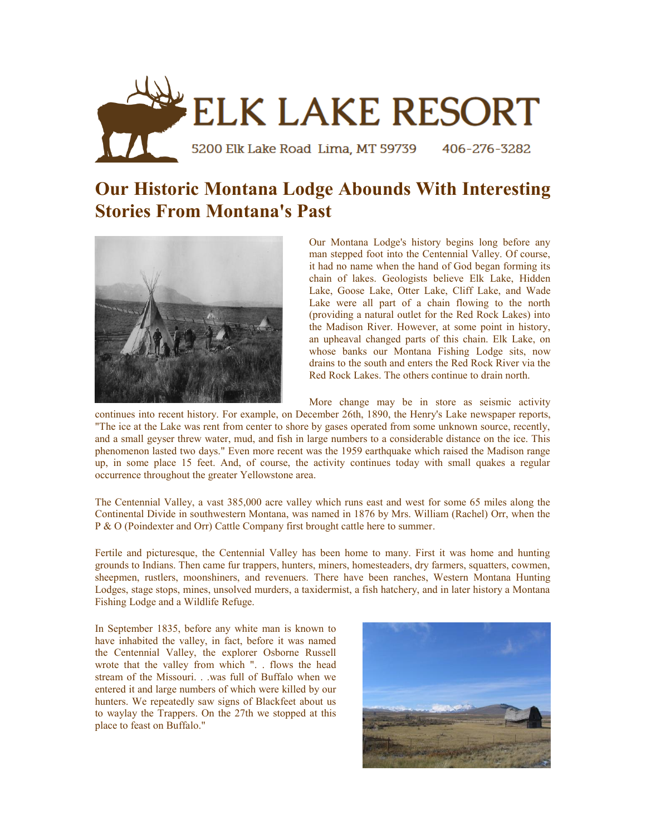

## **Our Historic Montana Lodge Abounds With Interesting Stories From Montana's Past**



Our Montana Lodge's history begins long before any man stepped foot into the Centennial Valley. Of course, it had no name when the hand of God began forming its chain of lakes. Geologists believe Elk Lake, Hidden Lake, Goose Lake, Otter Lake, Cliff Lake, and Wade Lake were all part of a chain flowing to the north (providing a natural outlet for the Red Rock Lakes) into the Madison River. However, at some point in history, an upheaval changed parts of this chain. Elk Lake, on whose banks our Montana Fishing Lodge sits, now drains to the south and enters the Red Rock River via the Red Rock Lakes. The others continue to drain north.

More change may be in store as seismic activity

continues into recent history. For example, on December 26th, 1890, the Henry's Lake newspaper reports, "The ice at the Lake was rent from center to shore by gases operated from some unknown source, recently, and a small geyser threw water, mud, and fish in large numbers to a considerable distance on the ice. This phenomenon lasted two days." Even more recent was the 1959 earthquake which raised the Madison range up, in some place 15 feet. And, of course, the activity continues today with small quakes a regular occurrence throughout the greater Yellowstone area.

The Centennial Valley, a vast 385,000 acre valley which runs east and west for some 65 miles along the Continental Divide in southwestern Montana, was named in 1876 by Mrs. William (Rachel) Orr, when the P & O (Poindexter and Orr) Cattle Company first brought cattle here to summer.

Fertile and picturesque, the Centennial Valley has been home to many. First it was home and hunting grounds to Indians. Then came fur trappers, hunters, miners, homesteaders, dry farmers, squatters, cowmen, sheepmen, rustlers, moonshiners, and revenuers. There have been ranches, Western Montana Hunting Lodges, stage stops, mines, unsolved murders, a taxidermist, a fish hatchery, and in later history a Montana Fishing Lodge and a Wildlife Refuge.

In September 1835, before any white man is known to have inhabited the valley, in fact, before it was named the Centennial Valley, the explorer Osborne Russell wrote that the valley from which ". . flows the head stream of the Missouri. . .was full of Buffalo when we entered it and large numbers of which were killed by our hunters. We repeatedly saw signs of Blackfeet about us to waylay the Trappers. On the 27th we stopped at this place to feast on Buffalo."

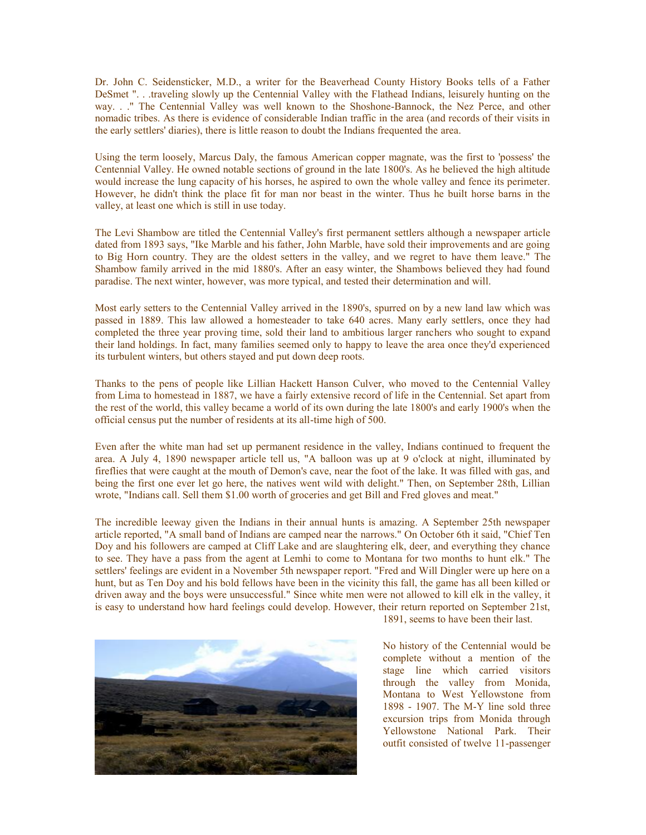Dr. John C. Seidensticker, M.D., a writer for the Beaverhead County History Books tells of a Father DeSmet ". . .traveling slowly up the Centennial Valley with the Flathead Indians, leisurely hunting on the way. . ." The Centennial Valley was well known to the Shoshone-Bannock, the Nez Perce, and other nomadic tribes. As there is evidence of considerable Indian traffic in the area (and records of their visits in the early settlers' diaries), there is little reason to doubt the Indians frequented the area.

Using the term loosely, Marcus Daly, the famous American copper magnate, was the first to 'possess' the Centennial Valley. He owned notable sections of ground in the late 1800's. As he believed the high altitude would increase the lung capacity of his horses, he aspired to own the whole valley and fence its perimeter. However, he didn't think the place fit for man nor beast in the winter. Thus he built horse barns in the valley, at least one which is still in use today.

The Levi Shambow are titled the Centennial Valley's first permanent settlers although a newspaper article dated from 1893 says, "Ike Marble and his father, John Marble, have sold their improvements and are going to Big Horn country. They are the oldest setters in the valley, and we regret to have them leave." The Shambow family arrived in the mid 1880's. After an easy winter, the Shambows believed they had found paradise. The next winter, however, was more typical, and tested their determination and will.

Most early setters to the Centennial Valley arrived in the 1890's, spurred on by a new land law which was passed in 1889. This law allowed a homesteader to take 640 acres. Many early settlers, once they had completed the three year proving time, sold their land to ambitious larger ranchers who sought to expand their land holdings. In fact, many families seemed only to happy to leave the area once they'd experienced its turbulent winters, but others stayed and put down deep roots.

Thanks to the pens of people like Lillian Hackett Hanson Culver, who moved to the Centennial Valley from Lima to homestead in 1887, we have a fairly extensive record of life in the Centennial. Set apart from the rest of the world, this valley became a world of its own during the late 1800's and early 1900's when the official census put the number of residents at its all-time high of 500.

Even after the white man had set up permanent residence in the valley, Indians continued to frequent the area. A July 4, 1890 newspaper article tell us, "A balloon was up at 9 o'clock at night, illuminated by fireflies that were caught at the mouth of Demon's cave, near the foot of the lake. It was filled with gas, and being the first one ever let go here, the natives went wild with delight." Then, on September 28th, Lillian wrote, "Indians call. Sell them \$1.00 worth of groceries and get Bill and Fred gloves and meat."

The incredible leeway given the Indians in their annual hunts is amazing. A September 25th newspaper article reported, "A small band of Indians are camped near the narrows." On October 6th it said, "Chief Ten Doy and his followers are camped at Cliff Lake and are slaughtering elk, deer, and everything they chance to see. They have a pass from the agent at Lemhi to come to Montana for two months to hunt elk." The settlers' feelings are evident in a November 5th newspaper report. "Fred and Will Dingler were up here on a hunt, but as Ten Doy and his bold fellows have been in the vicinity this fall, the game has all been killed or driven away and the boys were unsuccessful." Since white men were not allowed to kill elk in the valley, it is easy to understand how hard feelings could develop. However, their return reported on September 21st,



1891, seems to have been their last.

No history of the Centennial would be complete without a mention of the stage line which carried visitors through the valley from Monida, Montana to West Yellowstone from 1898 - 1907. The M-Y line sold three excursion trips from Monida through Yellowstone National Park. Their outfit consisted of twelve 11-passenger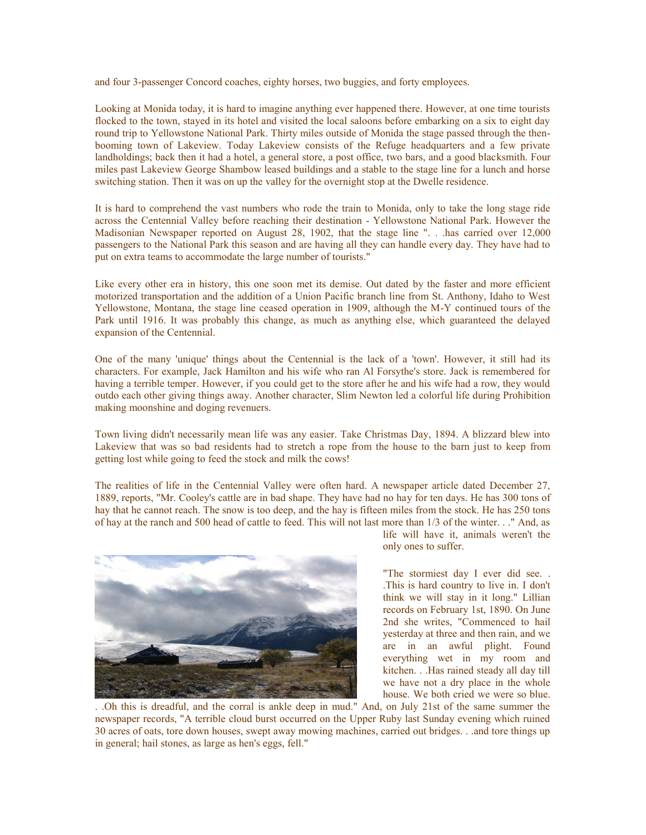and four 3-passenger Concord coaches, eighty horses, two buggies, and forty employees.

Looking at Monida today, it is hard to imagine anything ever happened there. However, at one time tourists flocked to the town, stayed in its hotel and visited the local saloons before embarking on a six to eight day round trip to Yellowstone National Park. Thirty miles outside of Monida the stage passed through the thenbooming town of Lakeview. Today Lakeview consists of the Refuge headquarters and a few private landholdings; back then it had a hotel, a general store, a post office, two bars, and a good blacksmith. Four miles past Lakeview George Shambow leased buildings and a stable to the stage line for a lunch and horse switching station. Then it was on up the valley for the overnight stop at the Dwelle residence.

It is hard to comprehend the vast numbers who rode the train to Monida, only to take the long stage ride across the Centennial Valley before reaching their destination - Yellowstone National Park. However the Madisonian Newspaper reported on August 28, 1902, that the stage line ". . .has carried over 12,000 passengers to the National Park this season and are having all they can handle every day. They have had to put on extra teams to accommodate the large number of tourists."

Like every other era in history, this one soon met its demise. Out dated by the faster and more efficient motorized transportation and the addition of a Union Pacific branch line from St. Anthony, Idaho to West Yellowstone, Montana, the stage line ceased operation in 1909, although the M-Y continued tours of the Park until 1916. It was probably this change, as much as anything else, which guaranteed the delayed expansion of the Centennial.

One of the many 'unique' things about the Centennial is the lack of a 'town'. However, it still had its characters. For example, Jack Hamilton and his wife who ran Al Forsythe's store. Jack is remembered for having a terrible temper. However, if you could get to the store after he and his wife had a row, they would outdo each other giving things away. Another character, Slim Newton led a colorful life during Prohibition making moonshine and doging revenuers.

Town living didn't necessarily mean life was any easier. Take Christmas Day, 1894. A blizzard blew into Lakeview that was so bad residents had to stretch a rope from the house to the barn just to keep from getting lost while going to feed the stock and milk the cows!

The realities of life in the Centennial Valley were often hard. A newspaper article dated December 27, 1889, reports, "Mr. Cooley's cattle are in bad shape. They have had no hay for ten days. He has 300 tons of hay that he cannot reach. The snow is too deep, and the hay is fifteen miles from the stock. He has 250 tons of hay at the ranch and 500 head of cattle to feed. This will not last more than 1/3 of the winter. . ." And, as



life will have it, animals weren't the only ones to suffer.

"The stormiest day I ever did see. . .This is hard country to live in. I don't think we will stay in it long." Lillian records on February 1st, 1890. On June 2nd she writes, "Commenced to hail yesterday at three and then rain, and we are in an awful plight. Found everything wet in my room and kitchen. . .Has rained steady all day till we have not a dry place in the whole house. We both cried we were so blue.

. .Oh this is dreadful, and the corral is ankle deep in mud." And, on July 21st of the same summer the newspaper records, "A terrible cloud burst occurred on the Upper Ruby last Sunday evening which ruined 30 acres of oats, tore down houses, swept away mowing machines, carried out bridges. . .and tore things up in general; hail stones, as large as hen's eggs, fell."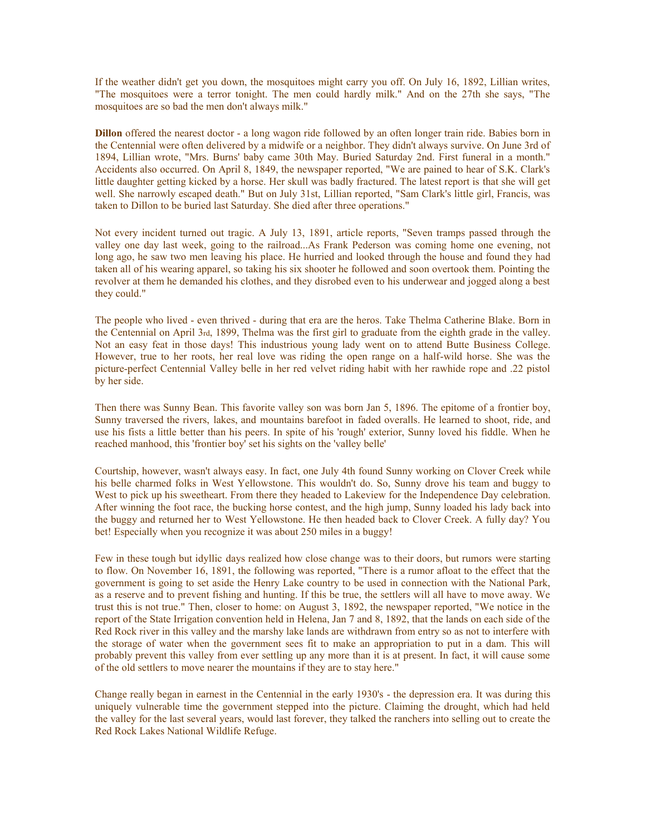If the weather didn't get you down, the mosquitoes might carry you off. On July 16, 1892, Lillian writes, "The mosquitoes were a terror tonight. The men could hardly milk." And on the 27th she says, "The mosquitoes are so bad the men don't always milk."

**Dillon** offered the nearest doctor - a long wagon ride followed by an often longer train ride. Babies born in the Centennial were often delivered by a midwife or a neighbor. They didn't always survive. On June 3rd of 1894, Lillian wrote, "Mrs. Burns' baby came 30th May. Buried Saturday 2nd. First funeral in a month." Accidents also occurred. On April 8, 1849, the newspaper reported, "We are pained to hear of S.K. Clark's little daughter getting kicked by a horse. Her skull was badly fractured. The latest report is that she will get well. She narrowly escaped death." But on July 31st, Lillian reported, "Sam Clark's little girl, Francis, was taken to Dillon to be buried last Saturday. She died after three operations."

Not every incident turned out tragic. A July 13, 1891, article reports, "Seven tramps passed through the valley one day last week, going to the railroad...As Frank Pederson was coming home one evening, not long ago, he saw two men leaving his place. He hurried and looked through the house and found they had taken all of his wearing apparel, so taking his six shooter he followed and soon overtook them. Pointing the revolver at them he demanded his clothes, and they disrobed even to his underwear and jogged along a best they could."

The people who lived - even thrived - during that era are the heros. Take Thelma Catherine Blake. Born in the Centennial on April 3rd, 1899, Thelma was the first girl to graduate from the eighth grade in the valley. Not an easy feat in those days! This industrious young lady went on to attend Butte Business College. However, true to her roots, her real love was riding the open range on a half-wild horse. She was the picture-perfect Centennial Valley belle in her red velvet riding habit with her rawhide rope and .22 pistol by her side.

Then there was Sunny Bean. This favorite valley son was born Jan 5, 1896. The epitome of a frontier boy, Sunny traversed the rivers, lakes, and mountains barefoot in faded overalls. He learned to shoot, ride, and use his fists a little better than his peers. In spite of his 'rough' exterior, Sunny loved his fiddle. When he reached manhood, this 'frontier boy' set his sights on the 'valley belle'

Courtship, however, wasn't always easy. In fact, one July 4th found Sunny working on Clover Creek while his belle charmed folks in West Yellowstone. This wouldn't do. So, Sunny drove his team and buggy to West to pick up his sweetheart. From there they headed to Lakeview for the Independence Day celebration. After winning the foot race, the bucking horse contest, and the high jump, Sunny loaded his lady back into the buggy and returned her to West Yellowstone. He then headed back to Clover Creek. A fully day? You bet! Especially when you recognize it was about 250 miles in a buggy!

Few in these tough but idyllic days realized how close change was to their doors, but rumors were starting to flow. On November 16, 1891, the following was reported, "There is a rumor afloat to the effect that the government is going to set aside the Henry Lake country to be used in connection with the National Park, as a reserve and to prevent fishing and hunting. If this be true, the settlers will all have to move away. We trust this is not true." Then, closer to home: on August 3, 1892, the newspaper reported, "We notice in the report of the State Irrigation convention held in Helena, Jan 7 and 8, 1892, that the lands on each side of the Red Rock river in this valley and the marshy lake lands are withdrawn from entry so as not to interfere with the storage of water when the government sees fit to make an appropriation to put in a dam. This will probably prevent this valley from ever settling up any more than it is at present. In fact, it will cause some of the old settlers to move nearer the mountains if they are to stay here."

Change really began in earnest in the Centennial in the early 1930's - the depression era. It was during this uniquely vulnerable time the government stepped into the picture. Claiming the drought, which had held the valley for the last several years, would last forever, they talked the ranchers into selling out to create the Red Rock Lakes National Wildlife Refuge.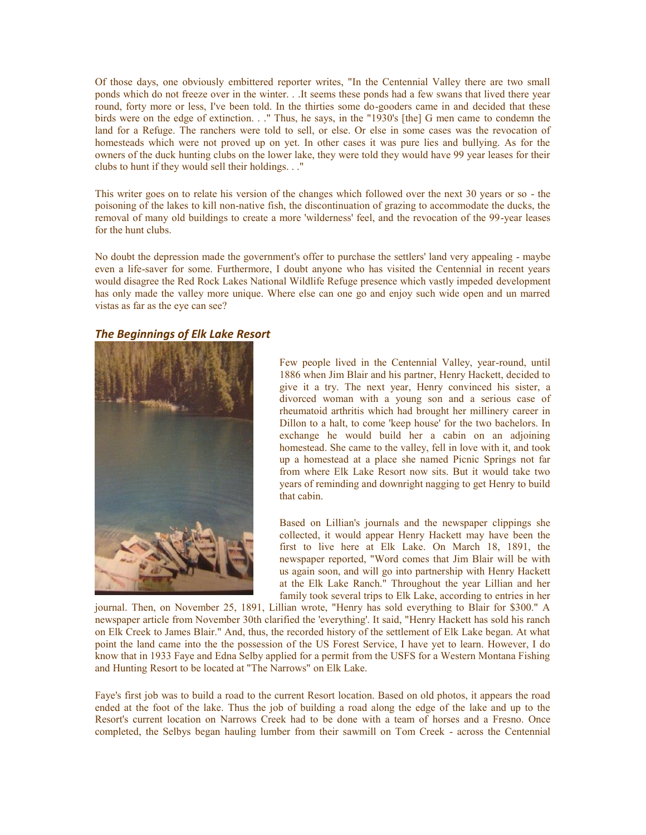Of those days, one obviously embittered reporter writes, "In the Centennial Valley there are two small ponds which do not freeze over in the winter. . .It seems these ponds had a few swans that lived there year round, forty more or less, I've been told. In the thirties some do-gooders came in and decided that these birds were on the edge of extinction. . ." Thus, he says, in the "1930's [the] G men came to condemn the land for a Refuge. The ranchers were told to sell, or else. Or else in some cases was the revocation of homesteads which were not proved up on yet. In other cases it was pure lies and bullying. As for the owners of the duck hunting clubs on the lower lake, they were told they would have 99 year leases for their clubs to hunt if they would sell their holdings. . ."

This writer goes on to relate his version of the changes which followed over the next 30 years or so - the poisoning of the lakes to kill non-native fish, the discontinuation of grazing to accommodate the ducks, the removal of many old buildings to create a more 'wilderness' feel, and the revocation of the 99-year leases for the hunt clubs.

No doubt the depression made the government's offer to purchase the settlers' land very appealing - maybe even a life-saver for some. Furthermore, I doubt anyone who has visited the Centennial in recent years would disagree the Red Rock Lakes National Wildlife Refuge presence which vastly impeded development has only made the valley more unique. Where else can one go and enjoy such wide open and un marred vistas as far as the eye can see?

## *The Beginnings of Elk Lake Resort*



Few people lived in the Centennial Valley, year-round, until 1886 when Jim Blair and his partner, Henry Hackett, decided to give it a try. The next year, Henry convinced his sister, a divorced woman with a young son and a serious case of rheumatoid arthritis which had brought her millinery career in Dillon to a halt, to come 'keep house' for the two bachelors. In exchange he would build her a cabin on an adjoining homestead. She came to the valley, fell in love with it, and took up a homestead at a place she named Picnic Springs not far from where Elk Lake Resort now sits. But it would take two years of reminding and downright nagging to get Henry to build that cabin.

Based on Lillian's journals and the newspaper clippings she collected, it would appear Henry Hackett may have been the first to live here at Elk Lake. On March 18, 1891, the newspaper reported, "Word comes that Jim Blair will be with us again soon, and will go into partnership with Henry Hackett at the Elk Lake Ranch." Throughout the year Lillian and her family took several trips to Elk Lake, according to entries in her

journal. Then, on November 25, 1891, Lillian wrote, "Henry has sold everything to Blair for \$300." A newspaper article from November 30th clarified the 'everything'. It said, "Henry Hackett has sold his ranch on Elk Creek to James Blair." And, thus, the recorded history of the settlement of Elk Lake began. At what point the land came into the the possession of the US Forest Service, I have yet to learn. However, I do know that in 1933 Faye and Edna Selby applied for a permit from the USFS for a Western Montana Fishing and Hunting Resort to be located at "The Narrows" on Elk Lake.

Faye's first job was to build a road to the current Resort location. Based on old photos, it appears the road ended at the foot of the lake. Thus the job of building a road along the edge of the lake and up to the Resort's current location on Narrows Creek had to be done with a team of horses and a Fresno. Once completed, the Selbys began hauling lumber from their sawmill on Tom Creek - across the Centennial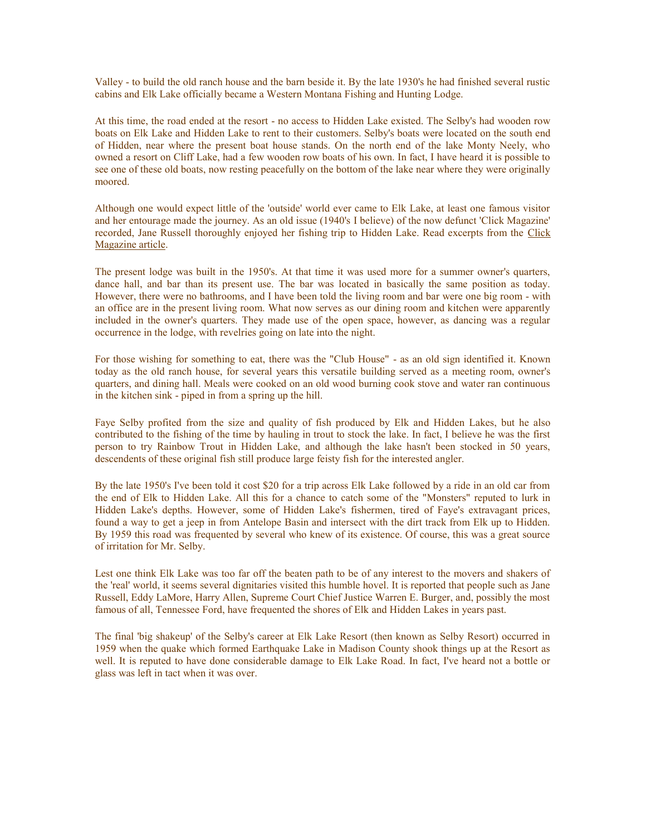Valley - to build the old ranch house and the barn beside it. By the late 1930's he had finished several rustic cabins and Elk Lake officially became a Western Montana Fishing and Hunting Lodge.

At this time, the road ended at the resort - no access to Hidden Lake existed. The Selby's had wooden row boats on Elk Lake and Hidden Lake to rent to their customers. Selby's boats were located on the south end of Hidden, near where the present boat house stands. On the north end of the lake Monty Neely, who owned a resort on Cliff Lake, had a few wooden row boats of his own. In fact, I have heard it is possible to see one of these old boats, now resting peacefully on the bottom of the lake near where they were originally moored.

Although one would expect little of the 'outside' world ever came to Elk Lake, at least one famous visitor and her entourage made the journey. As an old issue (1940's I believe) of the now defunct 'Click Magazine' recorded, Jane Russell thoroughly enjoyed her fishing trip to Hidden Lake. Read excerpts from the [Click](http://www.elklakeresortmontana.com/ClickMag.htm)  [Magazine article.](http://www.elklakeresortmontana.com/ClickMag.htm)

The present lodge was built in the 1950's. At that time it was used more for a summer owner's quarters, dance hall, and bar than its present use. The bar was located in basically the same position as today. However, there were no bathrooms, and I have been told the living room and bar were one big room - with an office are in the present living room. What now serves as our dining room and kitchen were apparently included in the owner's quarters. They made use of the open space, however, as dancing was a regular occurrence in the lodge, with revelries going on late into the night.

For those wishing for something to eat, there was the "Club House" - as an old sign identified it. Known today as the old ranch house, for several years this versatile building served as a meeting room, owner's quarters, and dining hall. Meals were cooked on an old wood burning cook stove and water ran continuous in the kitchen sink - piped in from a spring up the hill.

Faye Selby profited from the size and quality of fish produced by Elk and Hidden Lakes, but he also contributed to the fishing of the time by hauling in trout to stock the lake. In fact, I believe he was the first person to try Rainbow Trout in Hidden Lake, and although the lake hasn't been stocked in 50 years, descendents of these original fish still produce large feisty fish for the interested angler.

By the late 1950's I've been told it cost \$20 for a trip across Elk Lake followed by a ride in an old car from the end of Elk to Hidden Lake. All this for a chance to catch some of the "Monsters" reputed to lurk in Hidden Lake's depths. However, some of Hidden Lake's fishermen, tired of Faye's extravagant prices, found a way to get a jeep in from Antelope Basin and intersect with the dirt track from Elk up to Hidden. By 1959 this road was frequented by several who knew of its existence. Of course, this was a great source of irritation for Mr. Selby.

Lest one think Elk Lake was too far off the beaten path to be of any interest to the movers and shakers of the 'real' world, it seems several dignitaries visited this humble hovel. It is reported that people such as Jane Russell, Eddy LaMore, Harry Allen, Supreme Court Chief Justice Warren E. Burger, and, possibly the most famous of all, Tennessee Ford, have frequented the shores of Elk and Hidden Lakes in years past.

The final 'big shakeup' of the Selby's career at Elk Lake Resort (then known as Selby Resort) occurred in 1959 when the quake which formed Earthquake Lake in Madison County shook things up at the Resort as well. It is reputed to have done considerable damage to Elk Lake Road. In fact, I've heard not a bottle or glass was left in tact when it was over.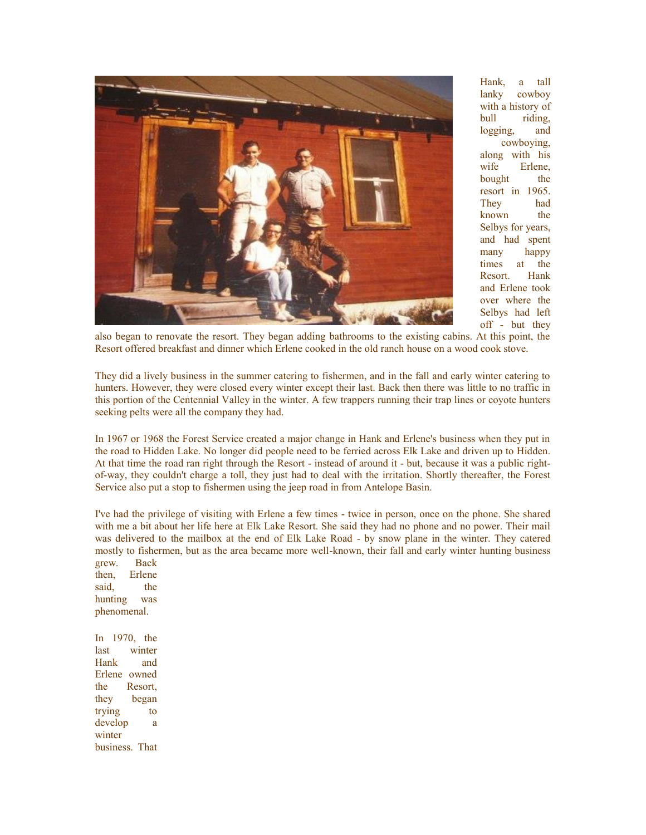

Hank, a tall lanky cowboy with a history of bull riding, logging, and cowboying, along with his wife Erlene, bought the resort in 1965. They had known the Selbys for years, and had spent many happy times at the Resort. Hank and Erlene took over where the Selbys had left off - but they

also began to renovate the resort. They began adding bathrooms to the existing cabins. At this point, the Resort offered breakfast and dinner which Erlene cooked in the old ranch house on a wood cook stove.

They did a lively business in the summer catering to fishermen, and in the fall and early winter catering to hunters. However, they were closed every winter except their last. Back then there was little to no traffic in this portion of the Centennial Valley in the winter. A few trappers running their trap lines or coyote hunters seeking pelts were all the company they had.

In 1967 or 1968 the Forest Service created a major change in Hank and Erlene's business when they put in the road to Hidden Lake. No longer did people need to be ferried across Elk Lake and driven up to Hidden. At that time the road ran right through the Resort - instead of around it - but, because it was a public rightof-way, they couldn't charge a toll, they just had to deal with the irritation. Shortly thereafter, the Forest Service also put a stop to fishermen using the jeep road in from Antelope Basin.

I've had the privilege of visiting with Erlene a few times - twice in person, once on the phone. She shared with me a bit about her life here at Elk Lake Resort. She said they had no phone and no power. Their mail was delivered to the mailbox at the end of Elk Lake Road - by snow plane in the winter. They catered mostly to fishermen, but as the area became more well-known, their fall and early winter hunting business grew. Back

then, Erlene said, the hunting was phenomenal.

In 1970, the last winter Hank and Erlene owned the Resort, they began trying to develop a winter business. That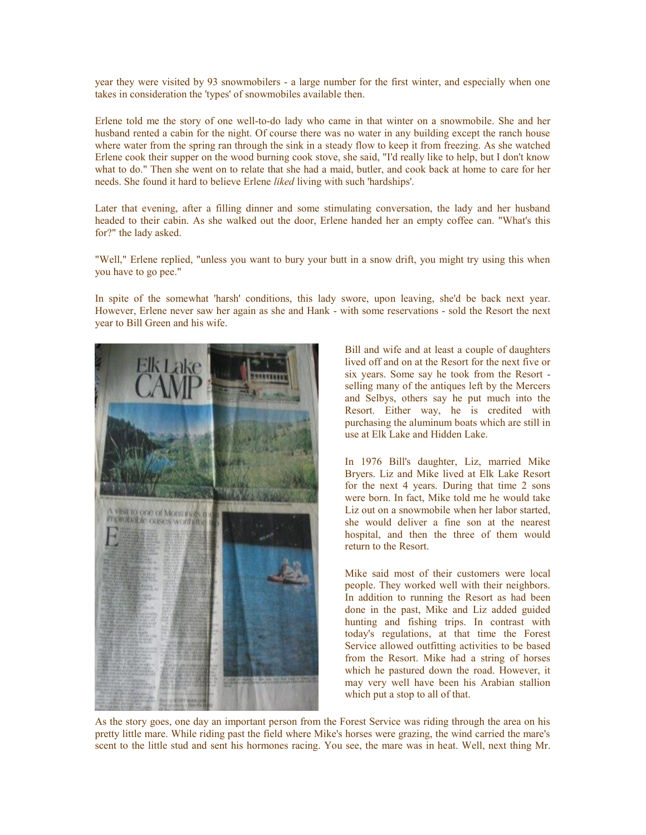year they were visited by 93 snowmobilers - a large number for the first winter, and especially when one takes in consideration the 'types' of snowmobiles available then.

Erlene told me the story of one well-to-do lady who came in that winter on a snowmobile. She and her husband rented a cabin for the night. Of course there was no water in any building except the ranch house where water from the spring ran through the sink in a steady flow to keep it from freezing. As she watched Erlene cook their supper on the wood burning cook stove, she said, "I'd really like to help, but I don't know what to do." Then she went on to relate that she had a maid, butler, and cook back at home to care for her needs. She found it hard to believe Erlene *liked* living with such 'hardships'.

Later that evening, after a filling dinner and some stimulating conversation, the lady and her husband headed to their cabin. As she walked out the door, Erlene handed her an empty coffee can. "What's this for?" the lady asked.

"Well," Erlene replied, "unless you want to bury your butt in a snow drift, you might try using this when you have to go pee."

In spite of the somewhat 'harsh' conditions, this lady swore, upon leaving, she'd be back next year. However, Erlene never saw her again as she and Hank - with some reservations - sold the Resort the next year to Bill Green and his wife.



Bill and wife and at least a couple of daughters lived off and on at the Resort for the next five or six years. Some say he took from the Resort selling many of the antiques left by the Mercers and Selbys, others say he put much into the Resort. Either way, he is credited with purchasing the aluminum boats which are still in use at Elk Lake and Hidden Lake.

In 1976 Bill's daughter, Liz, married Mike Bryers. Liz and Mike lived at Elk Lake Resort for the next 4 years. During that time 2 sons were born. In fact, Mike told me he would take Liz out on a snowmobile when her labor started. she would deliver a fine son at the nearest hospital, and then the three of them would return to the Resort.

Mike said most of their customers were local people. They worked well with their neighbors. In addition to running the Resort as had been done in the past, Mike and Liz added guided hunting and fishing trips. In contrast with today's regulations, at that time the Forest Service allowed outfitting activities to be based from the Resort. Mike had a string of horses which he pastured down the road. However, it may very well have been his Arabian stallion which put a stop to all of that.

As the story goes, one day an important person from the Forest Service was riding through the area on his pretty little mare. While riding past the field where Mike's horses were grazing, the wind carried the mare's scent to the little stud and sent his hormones racing. You see, the mare was in heat. Well, next thing Mr.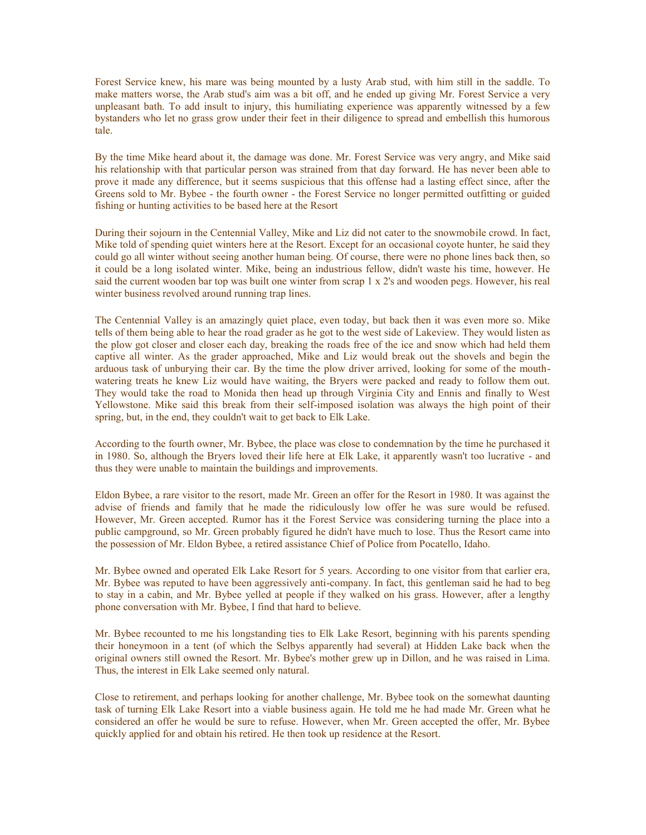Forest Service knew, his mare was being mounted by a lusty Arab stud, with him still in the saddle. To make matters worse, the Arab stud's aim was a bit off, and he ended up giving Mr. Forest Service a very unpleasant bath. To add insult to injury, this humiliating experience was apparently witnessed by a few bystanders who let no grass grow under their feet in their diligence to spread and embellish this humorous tale.

By the time Mike heard about it, the damage was done. Mr. Forest Service was very angry, and Mike said his relationship with that particular person was strained from that day forward. He has never been able to prove it made any difference, but it seems suspicious that this offense had a lasting effect since, after the Greens sold to Mr. Bybee - the fourth owner - the Forest Service no longer permitted outfitting or guided fishing or hunting activities to be based here at the Resort

During their sojourn in the Centennial Valley, Mike and Liz did not cater to the snowmobile crowd. In fact, Mike told of spending quiet winters here at the Resort. Except for an occasional coyote hunter, he said they could go all winter without seeing another human being. Of course, there were no phone lines back then, so it could be a long isolated winter. Mike, being an industrious fellow, didn't waste his time, however. He said the current wooden bar top was built one winter from scrap 1 x 2's and wooden pegs. However, his real winter business revolved around running trap lines.

The Centennial Valley is an amazingly quiet place, even today, but back then it was even more so. Mike tells of them being able to hear the road grader as he got to the west side of Lakeview. They would listen as the plow got closer and closer each day, breaking the roads free of the ice and snow which had held them captive all winter. As the grader approached, Mike and Liz would break out the shovels and begin the arduous task of unburying their car. By the time the plow driver arrived, looking for some of the mouthwatering treats he knew Liz would have waiting, the Bryers were packed and ready to follow them out. They would take the road to Monida then head up through Virginia City and Ennis and finally to West Yellowstone. Mike said this break from their self-imposed isolation was always the high point of their spring, but, in the end, they couldn't wait to get back to Elk Lake.

According to the fourth owner, Mr. Bybee, the place was close to condemnation by the time he purchased it in 1980. So, although the Bryers loved their life here at Elk Lake, it apparently wasn't too lucrative - and thus they were unable to maintain the buildings and improvements.

Eldon Bybee, a rare visitor to the resort, made Mr. Green an offer for the Resort in 1980. It was against the advise of friends and family that he made the ridiculously low offer he was sure would be refused. However, Mr. Green accepted. Rumor has it the Forest Service was considering turning the place into a public campground, so Mr. Green probably figured he didn't have much to lose. Thus the Resort came into the possession of Mr. Eldon Bybee, a retired assistance Chief of Police from Pocatello, Idaho.

Mr. Bybee owned and operated Elk Lake Resort for 5 years. According to one visitor from that earlier era, Mr. Bybee was reputed to have been aggressively anti-company. In fact, this gentleman said he had to beg to stay in a cabin, and Mr. Bybee yelled at people if they walked on his grass. However, after a lengthy phone conversation with Mr. Bybee, I find that hard to believe.

Mr. Bybee recounted to me his longstanding ties to Elk Lake Resort, beginning with his parents spending their honeymoon in a tent (of which the Selbys apparently had several) at Hidden Lake back when the original owners still owned the Resort. Mr. Bybee's mother grew up in Dillon, and he was raised in Lima. Thus, the interest in Elk Lake seemed only natural.

Close to retirement, and perhaps looking for another challenge, Mr. Bybee took on the somewhat daunting task of turning Elk Lake Resort into a viable business again. He told me he had made Mr. Green what he considered an offer he would be sure to refuse. However, when Mr. Green accepted the offer, Mr. Bybee quickly applied for and obtain his retired. He then took up residence at the Resort.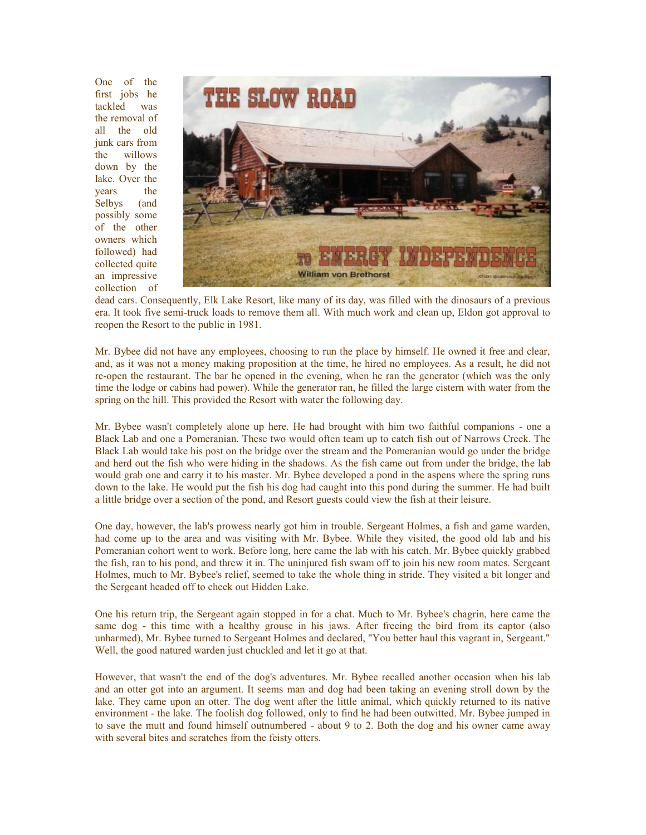One of the first jobs he tackled was the removal of all the old junk cars from the willows down by the lake. Over the years the Selbys (and possibly some of the other owners which followed) had collected quite an impressive collection of



dead cars. Consequently, Elk Lake Resort, like many of its day, was filled with the dinosaurs of a previous era. It took five semi-truck loads to remove them all. With much work and clean up, Eldon got approval to reopen the Resort to the public in 1981.

Mr. Bybee did not have any employees, choosing to run the place by himself. He owned it free and clear, and, as it was not a money making proposition at the time, he hired no employees. As a result, he did not re-open the restaurant. The bar he opened in the evening, when he ran the generator (which was the only time the lodge or cabins had power). While the generator ran, he filled the large cistern with water from the spring on the hill. This provided the Resort with water the following day.

Mr. Bybee wasn't completely alone up here. He had brought with him two faithful companions - one a Black Lab and one a Pomeranian. These two would often team up to catch fish out of Narrows Creek. The Black Lab would take his post on the bridge over the stream and the Pomeranian would go under the bridge and herd out the fish who were hiding in the shadows. As the fish came out from under the bridge, the lab would grab one and carry it to his master. Mr. Bybee developed a pond in the aspens where the spring runs down to the lake. He would put the fish his dog had caught into this pond during the summer. He had built a little bridge over a section of the pond, and Resort guests could view the fish at their leisure.

One day, however, the lab's prowess nearly got him in trouble. Sergeant Holmes, a fish and game warden, had come up to the area and was visiting with Mr. Bybee. While they visited, the good old lab and his Pomeranian cohort went to work. Before long, here came the lab with his catch. Mr. Bybee quickly grabbed the fish, ran to his pond, and threw it in. The uninjured fish swam off to join his new room mates. Sergeant Holmes, much to Mr. Bybee's relief, seemed to take the whole thing in stride. They visited a bit longer and the Sergeant headed off to check out Hidden Lake.

One his return trip, the Sergeant again stopped in for a chat. Much to Mr. Bybee's chagrin, here came the same dog - this time with a healthy grouse in his jaws. After freeing the bird from its captor (also unharmed), Mr. Bybee turned to Sergeant Holmes and declared, "You better haul this vagrant in, Sergeant." Well, the good natured warden just chuckled and let it go at that.

However, that wasn't the end of the dog's adventures. Mr. Bybee recalled another occasion when his lab and an otter got into an argument. It seems man and dog had been taking an evening stroll down by the lake. They came upon an otter. The dog went after the little animal, which quickly returned to its native environment - the lake. The foolish dog followed, only to find he had been outwitted. Mr. Bybee jumped in to save the mutt and found himself outnumbered - about 9 to 2. Both the dog and his owner came away with several bites and scratches from the feisty otters.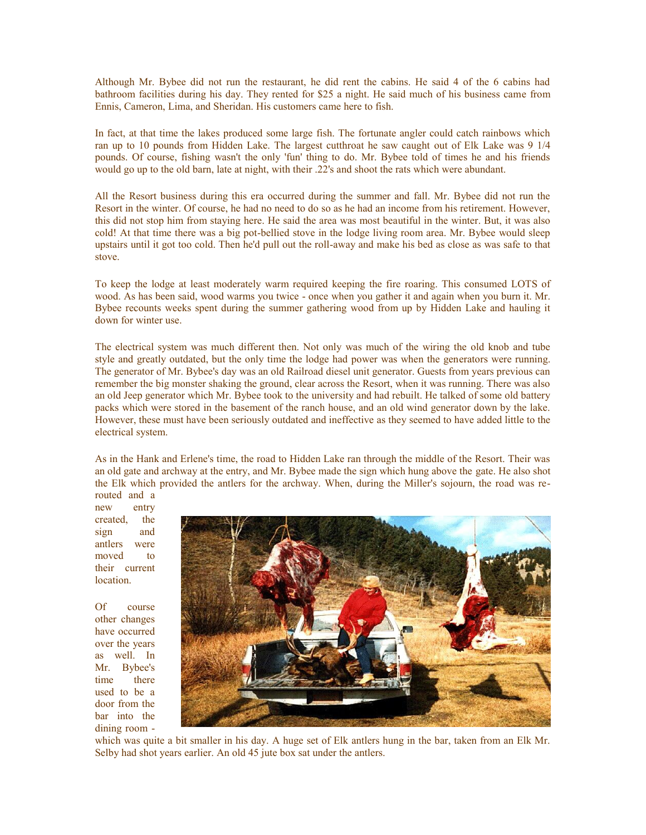Although Mr. Bybee did not run the restaurant, he did rent the cabins. He said 4 of the 6 cabins had bathroom facilities during his day. They rented for \$25 a night. He said much of his business came from Ennis, Cameron, Lima, and Sheridan. His customers came here to fish.

In fact, at that time the lakes produced some large fish. The fortunate angler could catch rainbows which ran up to 10 pounds from Hidden Lake. The largest cutthroat he saw caught out of Elk Lake was 9 1/4 pounds. Of course, fishing wasn't the only 'fun' thing to do. Mr. Bybee told of times he and his friends would go up to the old barn, late at night, with their .22's and shoot the rats which were abundant.

All the Resort business during this era occurred during the summer and fall. Mr. Bybee did not run the Resort in the winter. Of course, he had no need to do so as he had an income from his retirement. However, this did not stop him from staying here. He said the area was most beautiful in the winter. But, it was also cold! At that time there was a big pot-bellied stove in the lodge living room area. Mr. Bybee would sleep upstairs until it got too cold. Then he'd pull out the roll-away and make his bed as close as was safe to that stove.

To keep the lodge at least moderately warm required keeping the fire roaring. This consumed LOTS of wood. As has been said, wood warms you twice - once when you gather it and again when you burn it. Mr. Bybee recounts weeks spent during the summer gathering wood from up by Hidden Lake and hauling it down for winter use.

The electrical system was much different then. Not only was much of the wiring the old knob and tube style and greatly outdated, but the only time the lodge had power was when the generators were running. The generator of Mr. Bybee's day was an old Railroad diesel unit generator. Guests from years previous can remember the big monster shaking the ground, clear across the Resort, when it was running. There was also an old Jeep generator which Mr. Bybee took to the university and had rebuilt. He talked of some old battery packs which were stored in the basement of the ranch house, and an old wind generator down by the lake. However, these must have been seriously outdated and ineffective as they seemed to have added little to the electrical system.

As in the Hank and Erlene's time, the road to Hidden Lake ran through the middle of the Resort. Their was an old gate and archway at the entry, and Mr. Bybee made the sign which hung above the gate. He also shot the Elk which provided the antlers for the archway. When, during the Miller's sojourn, the road was re-

routed and a new entry created, the sign and antlers were moved to their current location.

Of course other changes have occurred over the years as well. In Mr. Bybee's time there used to be a door from the bar into the dining room -



which was quite a bit smaller in his day. A huge set of Elk antlers hung in the bar, taken from an Elk Mr. Selby had shot years earlier. An old 45 jute box sat under the antlers.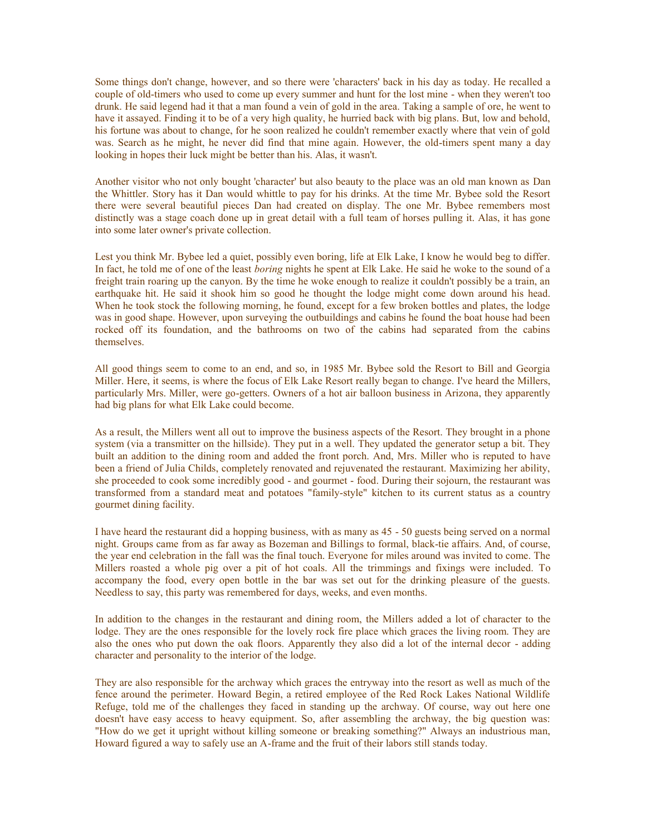Some things don't change, however, and so there were 'characters' back in his day as today. He recalled a couple of old-timers who used to come up every summer and hunt for the lost mine - when they weren't too drunk. He said legend had it that a man found a vein of gold in the area. Taking a sample of ore, he went to have it assayed. Finding it to be of a very high quality, he hurried back with big plans. But, low and behold, his fortune was about to change, for he soon realized he couldn't remember exactly where that vein of gold was. Search as he might, he never did find that mine again. However, the old-timers spent many a day looking in hopes their luck might be better than his. Alas, it wasn't.

Another visitor who not only bought 'character' but also beauty to the place was an old man known as Dan the Whittler. Story has it Dan would whittle to pay for his drinks. At the time Mr. Bybee sold the Resort there were several beautiful pieces Dan had created on display. The one Mr. Bybee remembers most distinctly was a stage coach done up in great detail with a full team of horses pulling it. Alas, it has gone into some later owner's private collection.

Lest you think Mr. Bybee led a quiet, possibly even boring, life at Elk Lake, I know he would beg to differ. In fact, he told me of one of the least *boring* nights he spent at Elk Lake. He said he woke to the sound of a freight train roaring up the canyon. By the time he woke enough to realize it couldn't possibly be a train, an earthquake hit. He said it shook him so good he thought the lodge might come down around his head. When he took stock the following morning, he found, except for a few broken bottles and plates, the lodge was in good shape. However, upon surveying the outbuildings and cabins he found the boat house had been rocked off its foundation, and the bathrooms on two of the cabins had separated from the cabins themselves.

All good things seem to come to an end, and so, in 1985 Mr. Bybee sold the Resort to Bill and Georgia Miller. Here, it seems, is where the focus of Elk Lake Resort really began to change. I've heard the Millers, particularly Mrs. Miller, were go-getters. Owners of a hot air balloon business in Arizona, they apparently had big plans for what Elk Lake could become.

As a result, the Millers went all out to improve the business aspects of the Resort. They brought in a phone system (via a transmitter on the hillside). They put in a well. They updated the generator setup a bit. They built an addition to the dining room and added the front porch. And, Mrs. Miller who is reputed to have been a friend of Julia Childs, completely renovated and rejuvenated the restaurant. Maximizing her ability, she proceeded to cook some incredibly good - and gourmet - food. During their sojourn, the restaurant was transformed from a standard meat and potatoes "family-style" kitchen to its current status as a country gourmet dining facility.

I have heard the restaurant did a hopping business, with as many as 45 - 50 guests being served on a normal night. Groups came from as far away as Bozeman and Billings to formal, black-tie affairs. And, of course, the year end celebration in the fall was the final touch. Everyone for miles around was invited to come. The Millers roasted a whole pig over a pit of hot coals. All the trimmings and fixings were included. To accompany the food, every open bottle in the bar was set out for the drinking pleasure of the guests. Needless to say, this party was remembered for days, weeks, and even months.

In addition to the changes in the restaurant and dining room, the Millers added a lot of character to the lodge. They are the ones responsible for the lovely rock fire place which graces the living room. They are also the ones who put down the oak floors. Apparently they also did a lot of the internal decor - adding character and personality to the interior of the lodge.

They are also responsible for the archway which graces the entryway into the resort as well as much of the fence around the perimeter. Howard Begin, a retired employee of the Red Rock Lakes National Wildlife Refuge, told me of the challenges they faced in standing up the archway. Of course, way out here one doesn't have easy access to heavy equipment. So, after assembling the archway, the big question was: "How do we get it upright without killing someone or breaking something?" Always an industrious man, Howard figured a way to safely use an A-frame and the fruit of their labors still stands today.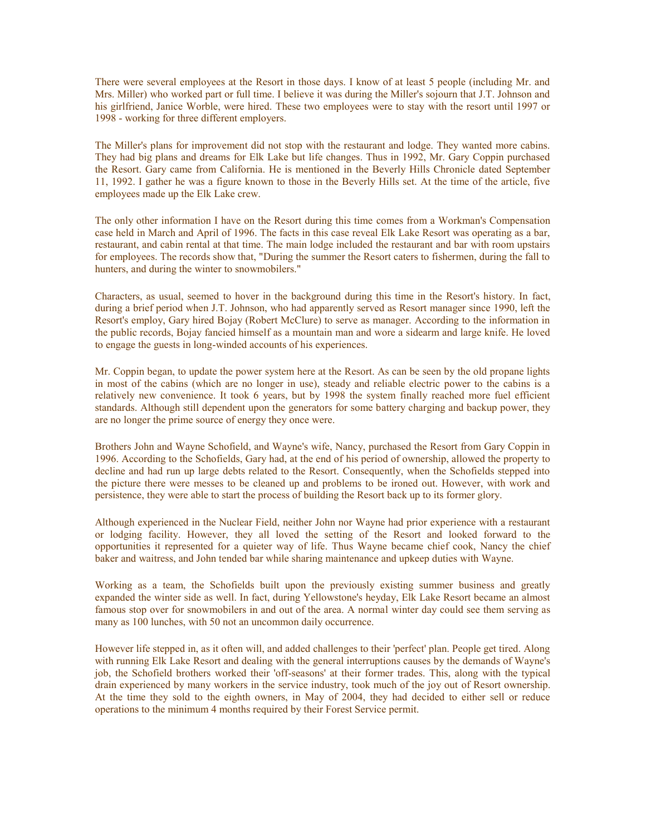There were several employees at the Resort in those days. I know of at least 5 people (including Mr. and Mrs. Miller) who worked part or full time. I believe it was during the Miller's sojourn that J.T. Johnson and his girlfriend, Janice Worble, were hired. These two employees were to stay with the resort until 1997 or 1998 - working for three different employers.

The Miller's plans for improvement did not stop with the restaurant and lodge. They wanted more cabins. They had big plans and dreams for Elk Lake but life changes. Thus in 1992, Mr. Gary Coppin purchased the Resort. Gary came from California. He is mentioned in the Beverly Hills Chronicle dated September 11, 1992. I gather he was a figure known to those in the Beverly Hills set. At the time of the article, five employees made up the Elk Lake crew.

The only other information I have on the Resort during this time comes from a Workman's Compensation case held in March and April of 1996. The facts in this case reveal Elk Lake Resort was operating as a bar, restaurant, and cabin rental at that time. The main lodge included the restaurant and bar with room upstairs for employees. The records show that, "During the summer the Resort caters to fishermen, during the fall to hunters, and during the winter to snowmobilers."

Characters, as usual, seemed to hover in the background during this time in the Resort's history. In fact, during a brief period when J.T. Johnson, who had apparently served as Resort manager since 1990, left the Resort's employ, Gary hired Bojay (Robert McClure) to serve as manager. According to the information in the public records, Bojay fancied himself as a mountain man and wore a sidearm and large knife. He loved to engage the guests in long-winded accounts of his experiences.

Mr. Coppin began, to update the power system here at the Resort. As can be seen by the old propane lights in most of the cabins (which are no longer in use), steady and reliable electric power to the cabins is a relatively new convenience. It took 6 years, but by 1998 the system finally reached more fuel efficient standards. Although still dependent upon the generators for some battery charging and backup power, they are no longer the prime source of energy they once were.

Brothers John and Wayne Schofield, and Wayne's wife, Nancy, purchased the Resort from Gary Coppin in 1996. According to the Schofields, Gary had, at the end of his period of ownership, allowed the property to decline and had run up large debts related to the Resort. Consequently, when the Schofields stepped into the picture there were messes to be cleaned up and problems to be ironed out. However, with work and persistence, they were able to start the process of building the Resort back up to its former glory.

Although experienced in the Nuclear Field, neither John nor Wayne had prior experience with a restaurant or lodging facility. However, they all loved the setting of the Resort and looked forward to the opportunities it represented for a quieter way of life. Thus Wayne became chief cook, Nancy the chief baker and waitress, and John tended bar while sharing maintenance and upkeep duties with Wayne.

Working as a team, the Schofields built upon the previously existing summer business and greatly expanded the winter side as well. In fact, during Yellowstone's heyday, Elk Lake Resort became an almost famous stop over for snowmobilers in and out of the area. A normal winter day could see them serving as many as 100 lunches, with 50 not an uncommon daily occurrence.

However life stepped in, as it often will, and added challenges to their 'perfect' plan. People get tired. Along with running Elk Lake Resort and dealing with the general interruptions causes by the demands of Wayne's job, the Schofield brothers worked their 'off-seasons' at their former trades. This, along with the typical drain experienced by many workers in the service industry, took much of the joy out of Resort ownership. At the time they sold to the eighth owners, in May of 2004, they had decided to either sell or reduce operations to the minimum 4 months required by their Forest Service permit.